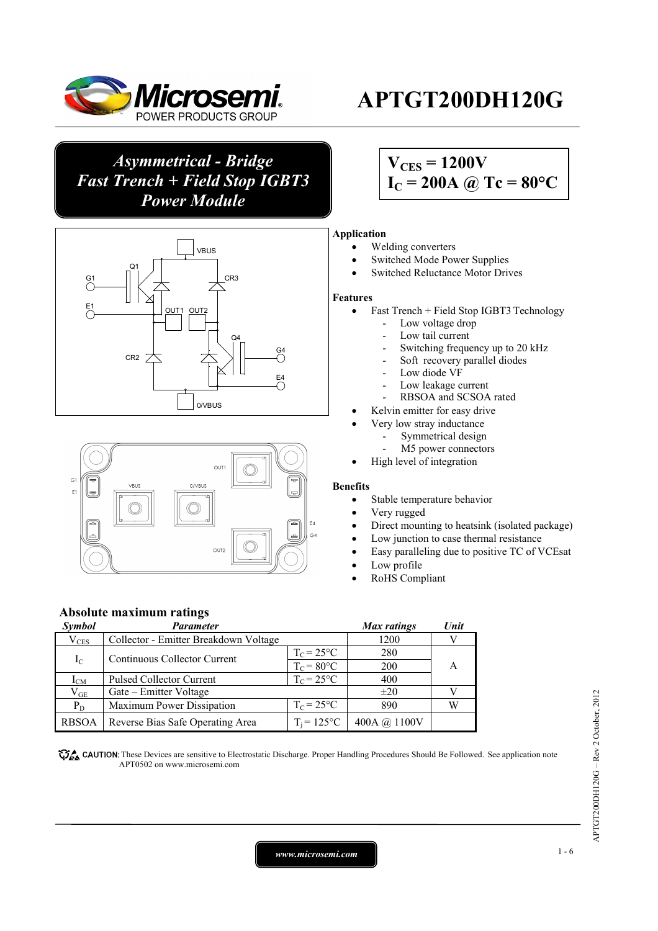

*Asymmetrical - Bridge Fast Trench + Field Stop IGBT3 Power Module* 





# **APTGT200DH120G**

## $V_{CES} = 1200V$  $I_C = 200A$  @ Tc = 80°C

#### **Application**

- Welding converters
- Switched Mode Power Supplies
- Switched Reluctance Motor Drives

#### **Features**

- $\bullet$  Fast Trench + Field Stop IGBT3 Technology
	- Low voltage drop
	- Low tail current
	- Switching frequency up to 20 kHz
	- Soft recovery parallel diodes
	- Low diode VF
	- Low leakage current
	- RBSOA and SCSOA rated
	- Kelvin emitter for easy drive
		- Very low stray inductance
		- Symmetrical design
		- M5 power connectors
		- High level of integration

#### **Benefits**

- Stable temperature behavior
- Very rugged
- Direct mounting to heatsink (isolated package)
- Low junction to case thermal resistance
- Easy paralleling due to positive TC of VCEsat
- Low profile
- RoHS Compliant

#### **Absolute maximum ratings**

| <b>Symbol</b>   | <b>Parameter</b>                      |                     | <b>Max</b> ratings | Unit |  |
|-----------------|---------------------------------------|---------------------|--------------------|------|--|
| $\rm V_{CES}$   | Collector - Emitter Breakdown Voltage |                     | 1200               |      |  |
| $I_{\rm C}$     | Continuous Collector Current          | $T_{C} = 25$ °C     | 280                |      |  |
|                 |                                       | $T_c = 80^{\circ}C$ | 200                | A    |  |
| 1 <sub>CM</sub> | <b>Pulsed Collector Current</b>       | $T_c = 25$ °C       | 400                |      |  |
| $\rm V_{GE}$    | Gate – Emitter Voltage                |                     | $\pm 20$           |      |  |
| $P_D$           | Maximum Power Dissipation             | $T_c = 25$ °C       | 890                | W    |  |
| <b>RBSOA</b>    | Reverse Bias Safe Operating Area      | $T_i = 125$ °C      | 400A @ 1100V       |      |  |

**These** CAUTION: These Devices are sensitive to Electrostatic Discharge. Proper Handling Procedures Should Be Followed. See application note APT0502 on www.microsemi.com

APTGT200DH120G - Rev 2 October, 2012 APTGT200DH120G – Rev 2 October, 2012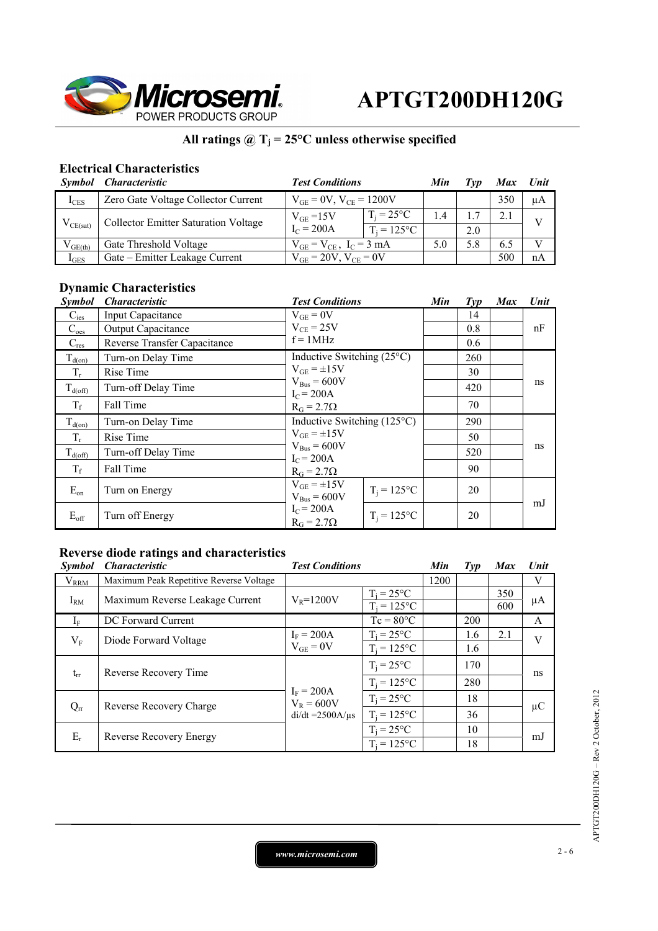

### All ratings  $@T_j = 25°C$  unless otherwise specified

### **Electrical Characteristics**

|               | Symbol Characteristic                | <b>Test Conditions</b>                                                 |  | Min | Tvp | <b>Max</b> | Unit |
|---------------|--------------------------------------|------------------------------------------------------------------------|--|-----|-----|------------|------|
| $I_{CES}$     | Zero Gate Voltage Collector Current  | $V_{GE} = 0V$ , $V_{CE} = 1200V$                                       |  |     |     | 350        | μA   |
| $V_{CE(sat)}$ | Collector Emitter Saturation Voltage | $T_i = 25^{\circ}C$<br>$V_{GF}$ =15V<br>$I_C = 200A$<br>$T_i = 125$ °C |  | 1.4 |     |            |      |
|               |                                      |                                                                        |  | 2.0 |     |            |      |
| $V_{GE(th)}$  | Gate Threshold Voltage               | $V_{GE} = V_{CE}$ , $I_C = 3$ mA                                       |  | 5.0 | 5.8 | 6.5        |      |
| $I_{GES}$     | Gate – Emitter Leakage Current       | $V_{GE} = 20V$ , $V_{CE} = 0V$                                         |  |     |     | 500        | nA   |

## **Dynamic Characteristics**

| <i>Symbol</i>       | <i><b>Characteristic</b></i>        | <b>Test Conditions</b>                                                                                              |                | Min | $\mathcal{I}yp$ | <b>Max</b> | Unit |
|---------------------|-------------------------------------|---------------------------------------------------------------------------------------------------------------------|----------------|-----|-----------------|------------|------|
| $C_{\text{ies}}$    | <b>Input Capacitance</b>            | $V_{GE} = 0V$<br>$V_{CE}$ = 25V<br>$f = 1MHz$                                                                       |                |     | 14              |            |      |
| $C_{\text{oes}}$    | Output Capacitance                  |                                                                                                                     |                |     | 0.8             |            | nF   |
| $C_{res}$           | <b>Reverse Transfer Capacitance</b> |                                                                                                                     |                |     | 0.6             |            |      |
| $T_{d(on)}$         | Turn-on Delay Time                  | Inductive Switching $(25^{\circ}C)$                                                                                 |                |     | 260             |            |      |
| $T_r$               | Rise Time                           | $V_{GE} = \pm 15V$                                                                                                  |                |     | 30              |            |      |
| $T_{d(\text{off})}$ | Turn-off Delay Time                 | $V_{Bus} = 600V$<br>$IC = 200A$                                                                                     |                |     | 420             |            | ns   |
| $T_f$               | Fall Time                           | $R_G = 2.7\Omega$                                                                                                   |                | 70  |                 |            |      |
| $T_{d(0n)}$         | Turn-on Delay Time                  | Inductive Switching $(125^{\circ}C)$<br>$V_{GE} = \pm 15V$<br>$V_{Bus} = 600V$<br>$I_C = 200A$<br>$R_G = 2.7\Omega$ |                |     | 290             |            | ns   |
| $T_r$               | Rise Time                           |                                                                                                                     |                |     | 50              |            |      |
| $T_{d(\text{off})}$ | Turn-off Delay Time                 |                                                                                                                     |                |     | 520             |            |      |
| $T_f$               | Fall Time                           |                                                                                                                     |                |     | 90              |            |      |
| $E_{on}$            | Turn on Energy                      | $V_{GE} = \pm 15V$<br>$V_{Bus} = 600V$                                                                              | $T_i = 125$ °C |     | 20              |            |      |
| $E_{\rm off}$       | Turn off Energy                     | $I_C = 200A$<br>$R_G = 2.7\Omega$                                                                                   | $T_i = 125$ °C |     | 20              |            | mJ   |

### **Reverse diode ratings and characteristics**

| <b>Symbol</b> | <i><b>Characteristic</b></i>            | <b>Test Conditions</b>                             |                    | Min  | $\mathcal{I}yp$ | <b>Max</b> | <b>Unit</b> |
|---------------|-----------------------------------------|----------------------------------------------------|--------------------|------|-----------------|------------|-------------|
| $V_{RRM}$     | Maximum Peak Repetitive Reverse Voltage |                                                    |                    | 1200 |                 |            | V           |
| $I_{\rm RM}$  | Maximum Reverse Leakage Current         | $V_R = 1200V$                                      | $=25^{\circ}C$     |      |                 | 350        | μA          |
|               |                                         |                                                    | $T_i = 125$ °C     |      |                 | 600        |             |
| $\rm l_F$     | DC Forward Current                      |                                                    | $Tc = 80^{\circ}C$ |      | 200             |            | A           |
| $\rm V_F$     | Diode Forward Voltage                   | $I_F = 200A$<br>$V_{GE} = 0V$                      | $T_i = 25$ °C      |      | 1.6             | 2.1        | V           |
|               |                                         |                                                    | $T_i = 125$ °C     |      | 1.6             |            |             |
| $t_{rr}$      | Reverse Recovery Time                   | $I_F = 200A$<br>$V_R = 600V$<br>$di/dt = 2500A/us$ | $T_i = 25$ °C      |      | 170             |            | ns          |
|               |                                         |                                                    | $T_i = 125$ °C     |      | 280             |            |             |
| $Q_{rr}$      | Reverse Recovery Charge                 |                                                    | $T_i = 25$ °C      |      | 18              |            | $\mu$ C     |
|               |                                         |                                                    | $T_i = 125$ °C     |      | 36              |            |             |
| $E_r$         | <b>Reverse Recovery Energy</b>          |                                                    | $T_i = 25$ °C      |      | 10              |            | mJ          |
|               |                                         | $T_i = 125$ °C                                     |                    |      | 18              |            |             |

*www.microsemi.com* 2-6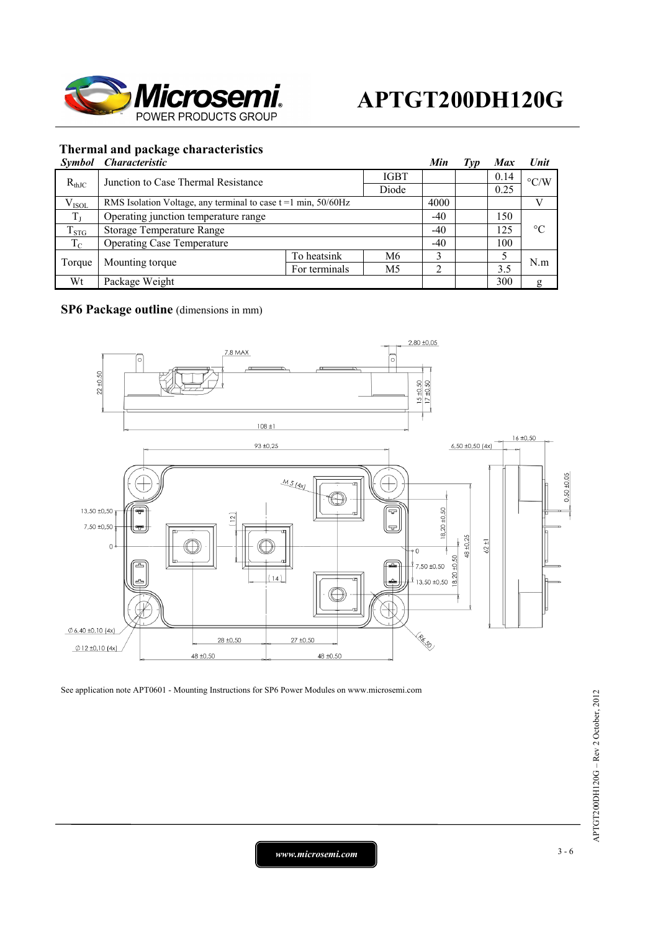

#### **Thermal and package characteristics**

| <b>Symbol</b> | <i><b>Characteristic</b></i>                                        |               |                | Min   | Typ  | <b>Max</b>         | Unit            |
|---------------|---------------------------------------------------------------------|---------------|----------------|-------|------|--------------------|-----------------|
| $R_{thJC}$    | <b>IGBT</b><br>Junction to Case Thermal Resistance<br>Diode         |               |                |       | 0.14 | $\rm ^{\circ} C/W$ |                 |
|               |                                                                     |               |                |       | 0.25 |                    |                 |
| $V_{ISOL}$    | RMS Isolation Voltage, any terminal to case $t = 1$ min, $50/60$ Hz |               |                | 4000  |      |                    |                 |
| $T_{J}$       | Operating junction temperature range                                |               |                | $-40$ |      | 150                |                 |
| $T_{STG}$     | Storage Temperature Range                                           |               |                | $-40$ |      | 125                | $\rm ^{\circ}C$ |
| $T_{\rm C}$   | <b>Operating Case Temperature</b>                                   |               |                |       |      | 100                |                 |
| Torque        | Mounting torque                                                     | To heatsink   | M6             | ∍     |      |                    | N.m             |
|               |                                                                     | For terminals | M <sub>5</sub> |       |      | 3.5                |                 |
| Wt            | Package Weight                                                      |               |                |       |      | 300                | g               |

### **SP6 Package outline** (dimensions in mm)



See application note APT0601 - Mounting Instructions for SP6 Power Modules on www.microsemi.com

*www.microsemi.com* 3-6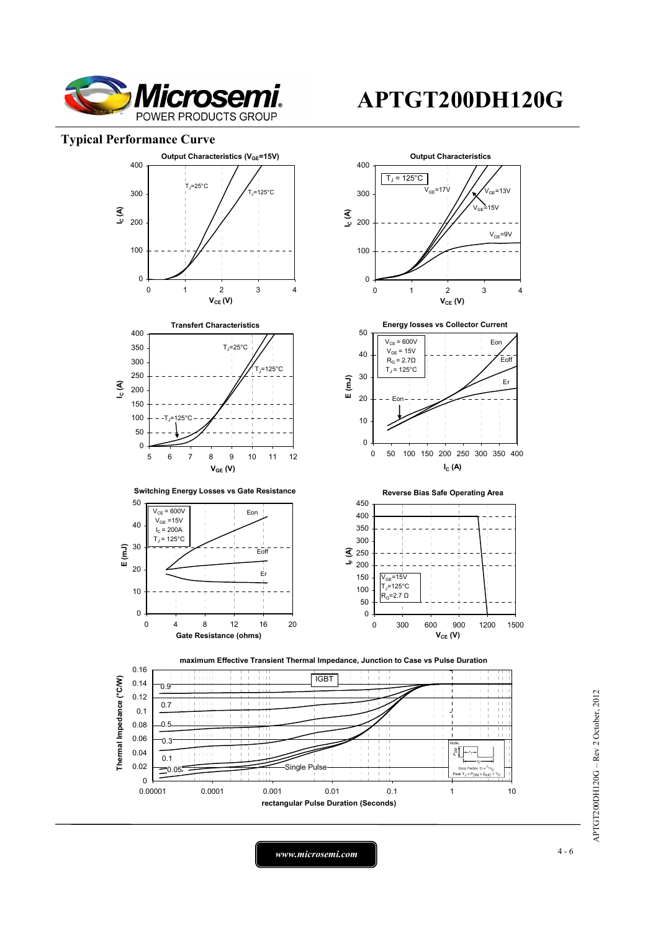

#### **Typical Performance Curve**



APTGT200DH120G - Rev 2 October, 2012 APTGT200DH120G – Rev 2 October, 2012

*www.microsemi.com* 4-6

## **APTGT200DH120G**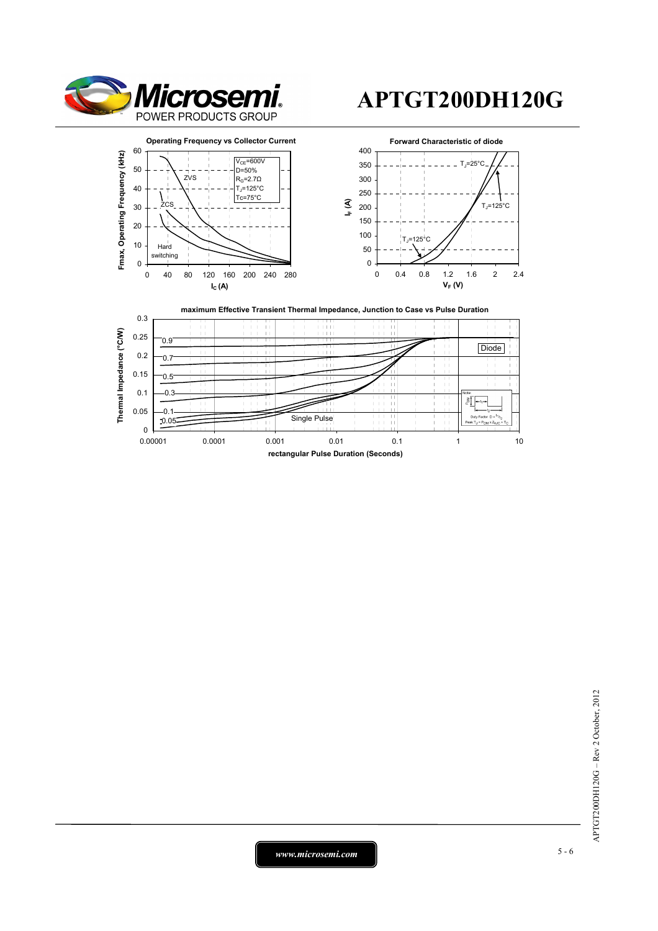

# **APTGT200DH120G**



*www.microsemi.com* 5-6